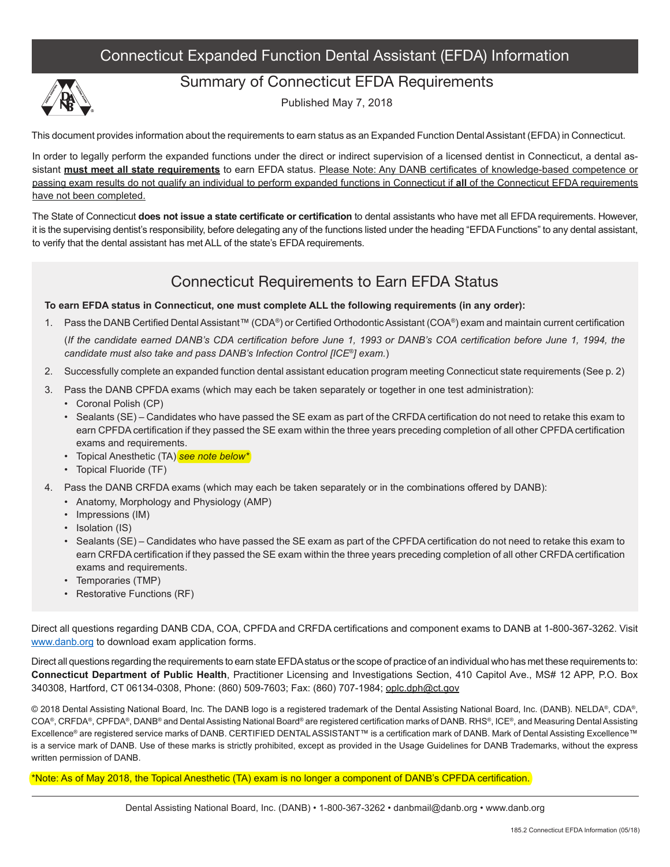### Connecticut Expanded Function Dental Assistant (EFDA) Information



#### Summary of Connecticut EFDA Requirements

Published May 7, 2018

This document provides information about the requirements to earn status as an Expanded Function Dental Assistant (EFDA) in Connecticut.

In order to legally perform the expanded functions under the direct or indirect supervision of a licensed dentist in Connecticut, a dental assistant **must meet all state requirements** to earn EFDA status. Please Note: Any DANB certificates of knowledge-based competence or passing exam results do not qualify an individual to perform expanded functions in Connecticut if **all** of the Connecticut EFDA requirements have not been completed.

The State of Connecticut **does not issue a state certificate or certification** to dental assistants who have met all EFDA requirements. However, it is the supervising dentist's responsibility, before delegating any of the functions listed under the heading "EFDA Functions" to any dental assistant, to verify that the dental assistant has met ALL of the state's EFDA requirements.

### Connecticut Requirements to Earn EFDA Status

**To earn EFDA status in Connecticut, one must complete ALL the following requirements (in any order):**

1. Pass the DANB Certified Dental Assistant™ (CDA®) or Certified Orthodontic Assistant (COA®) exam and maintain current certification

(*If the candidate earned DANB's CDA certification before June 1, 1993 or DANB's COA certification before June 1, 1994, the candidate must also take and pass DANB's Infection Control [ICE®] exam.*)

- 2. Successfully complete an expanded function dental assistant education program meeting Connecticut state requirements (See p. 2)
- 3. Pass the DANB CPFDA exams (which may each be taken separately or together in one test administration):
	- Coronal Polish (CP)
	- Sealants (SE) Candidates who have passed the SE exam as part of the CRFDA certification do not need to retake this exam to earn CPFDA certification if they passed the SE exam within the three years preceding completion of all other CPFDA certification exams and requirements.
	- Topical Anesthetic (TA) *see note below\**
	- Topical Fluoride (TF)
- 4. Pass the DANB CRFDA exams (which may each be taken separately or in the combinations offered by DANB):
	- Anatomy, Morphology and Physiology (AMP)
	- Impressions (IM)
	- Isolation (IS)
	- Sealants (SE) Candidates who have passed the SE exam as part of the CPFDA certification do not need to retake this exam to earn CRFDA certification if they passed the SE exam within the three years preceding completion of all other CRFDA certification exams and requirements.
	- Temporaries (TMP)
	- Restorative Functions (RF)

Direct all questions regarding DANB CDA, COA, CPFDA and CRFDA certifications and component exams to DANB at 1-800-367-3262. Visit www.danb.org to download exam application forms.

Direct all questions regarding the requirements to earn state EFDA status or the scope of practice of an individual who has met these requirements to: **Connecticut Department of Public Health**, Practitioner Licensing and Investigations Section, 410 Capitol Ave., MS# 12 APP, P.O. Box 340308, Hartford, CT 06134-0308, Phone: (860) 509-7603; Fax: (860) 707-1984; oplc.dph@ct.gov

© 2018 Dental Assisting National Board, Inc. The DANB logo is a registered trademark of the Dental Assisting National Board, Inc. (DANB). NELDA®, CDA®, COA®, CRFDA®, CPFDA®, DANB® and Dental Assisting National Board® are registered certification marks of DANB. RHS®, ICE®, and Measuring Dental Assisting Excellence® are registered service marks of DANB. CERTIFIED DENTAL ASSISTANT™ is a certification mark of DANB. Mark of Dental Assisting Excellence™ is a service mark of DANB. Use of these marks is strictly prohibited, except as provided in the Usage Guidelines for DANB Trademarks, without the express written permission of DANB.

\*Note: As of May 2018, the Topical Anesthetic (TA) exam is no longer a component of DANB's CPFDA certification.